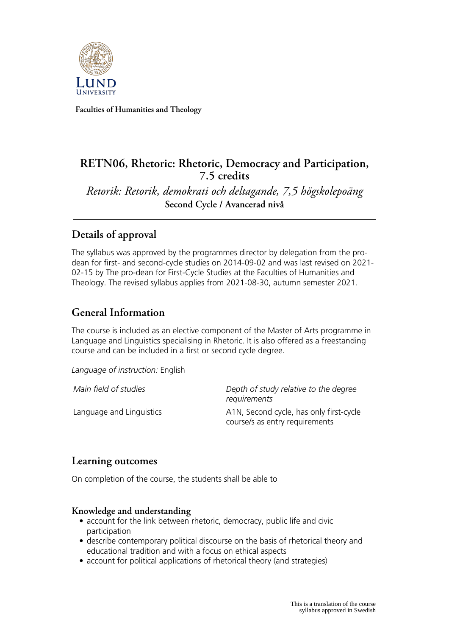

**Faculties of Humanities and Theology**

### **RETN06, Rhetoric: Rhetoric, Democracy and Participation, 7.5 credits**

*Retorik: Retorik, demokrati och deltagande, 7,5 högskolepoäng* **Second Cycle / Avancerad nivå**

## **Details of approval**

The syllabus was approved by the programmes director by delegation from the prodean for first- and second-cycle studies on 2014-09-02 and was last revised on 2021- 02-15 by The pro-dean for First-Cycle Studies at the Faculties of Humanities and Theology. The revised syllabus applies from 2021-08-30, autumn semester 2021.

### **General Information**

The course is included as an elective component of the Master of Arts programme in Language and Linguistics specialising in Rhetoric. It is also offered as a freestanding course and can be included in a first or second cycle degree.

*Language of instruction:* English

*Main field of studies Depth of study relative to the degree requirements* Language and Linguistics **A1N, Second cycle, has only first-cycle** course/s as entry requirements

### **Learning outcomes**

On completion of the course, the students shall be able to

### **Knowledge and understanding**

- account for the link between rhetoric, democracy, public life and civic participation
- describe contemporary political discourse on the basis of rhetorical theory and educational tradition and with a focus on ethical aspects
- account for political applications of rhetorical theory (and strategies)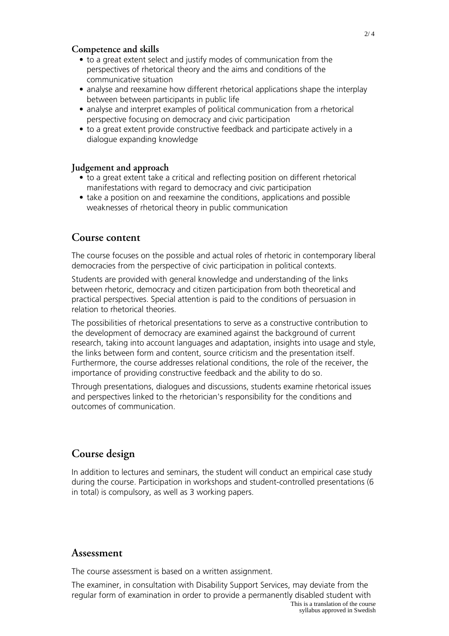#### **Competence and skills**

- to a great extent select and justify modes of communication from the perspectives of rhetorical theory and the aims and conditions of the communicative situation
- analyse and reexamine how different rhetorical applications shape the interplay between between participants in public life
- analyse and interpret examples of political communication from a rhetorical perspective focusing on democracy and civic participation
- to a great extent provide constructive feedback and participate actively in a dialogue expanding knowledge

#### **Judgement and approach**

- to a great extent take a critical and reflecting position on different rhetorical manifestations with regard to democracy and civic participation
- take a position on and reexamine the conditions, applications and possible weaknesses of rhetorical theory in public communication

### **Course content**

The course focuses on the possible and actual roles of rhetoric in contemporary liberal democracies from the perspective of civic participation in political contexts.

Students are provided with general knowledge and understanding of the links between rhetoric, democracy and citizen participation from both theoretical and practical perspectives. Special attention is paid to the conditions of persuasion in relation to rhetorical theories.

The possibilities of rhetorical presentations to serve as a constructive contribution to the development of democracy are examined against the background of current research, taking into account languages and adaptation, insights into usage and style, the links between form and content, source criticism and the presentation itself. Furthermore, the course addresses relational conditions, the role of the receiver, the importance of providing constructive feedback and the ability to do so.

Through presentations, dialogues and discussions, students examine rhetorical issues and perspectives linked to the rhetorician's responsibility for the conditions and outcomes of communication.

### **Course design**

In addition to lectures and seminars, the student will conduct an empirical case study during the course. Participation in workshops and student-controlled presentations (6 in total) is compulsory, as well as 3 working papers.

#### **Assessment**

The course assessment is based on a written assignment.

The examiner, in consultation with Disability Support Services, may deviate from the regular form of examination in order to provide a permanently disabled student with This is a translation of the course syllabus approved in Swedish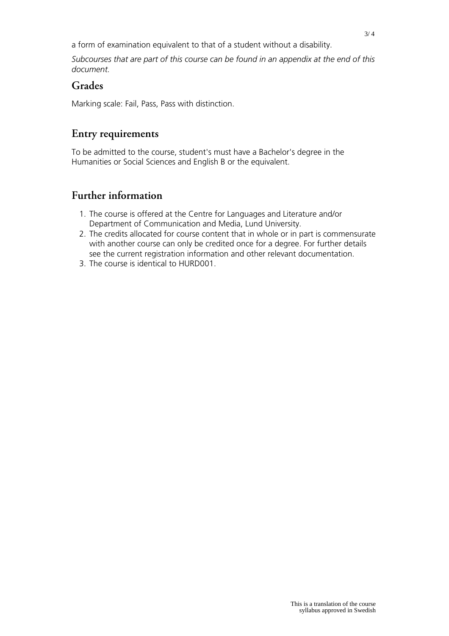a form of examination equivalent to that of a student without a disability.

*Subcourses that are part of this course can be found in an appendix at the end of this document.*

### **Grades**

Marking scale: Fail, Pass, Pass with distinction.

# **Entry requirements**

To be admitted to the course, student's must have a Bachelor's degree in the Humanities or Social Sciences and English B or the equivalent.

# **Further information**

- 1. The course is offered at the Centre for Languages and Literature and/or Department of Communication and Media, Lund University.
- 2. The credits allocated for course content that in whole or in part is commensurate with another course can only be credited once for a degree. For further details see the current registration information and other relevant documentation.
- 3. The course is identical to HURD001.